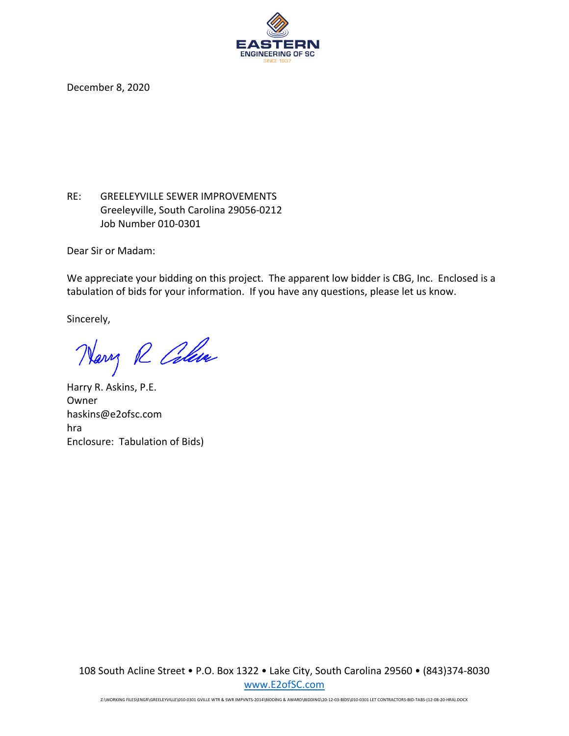

December 8, 2020

RE: GREELEYVILLE SEWER IMPROVEMENTS Greeleyville, South Carolina 29056‐0212 Job Number 010‐0301

Dear Sir or Madam:

We appreciate your bidding on this project. The apparent low bidder is CBG, Inc. Enclosed is a tabulation of bids for your information. If you have any questions, please let us know.

Sincerely,

Harry R Colair

Harry R. Askins, P.E. Owner haskins@e2ofsc.com hra Enclosure: Tabulation of Bids)

108 South Acline Street • P.O. Box 1322 • Lake City, South Carolina 29560 • (843)374‐8030 www.E2ofSC.com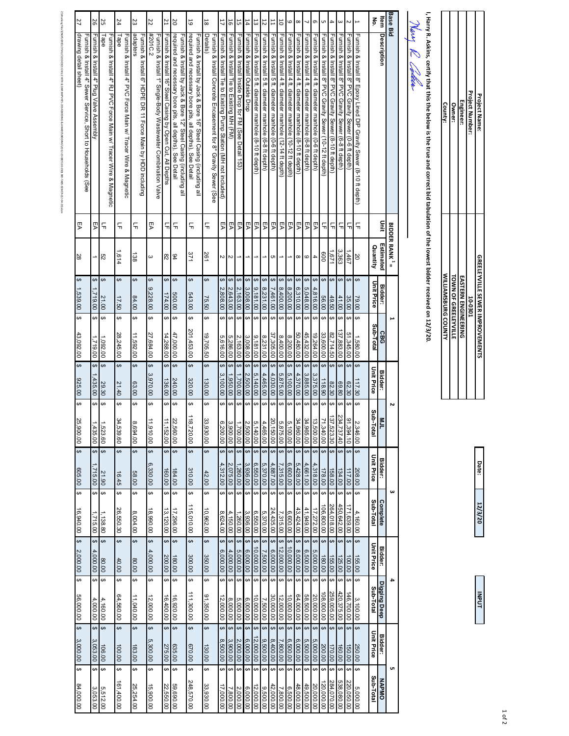| <b>Base Bid</b>          |                                                                                                                                          | <b>BIDDER RANK<sup>1</sup> =</b> |                             |                |                      |                                     | N                                    |                                     | ω         |                                      |                                                                           |                                      |                                              |
|--------------------------|------------------------------------------------------------------------------------------------------------------------------------------|----------------------------------|-----------------------------|----------------|----------------------|-------------------------------------|--------------------------------------|-------------------------------------|-----------|--------------------------------------|---------------------------------------------------------------------------|--------------------------------------|----------------------------------------------|
| ltem                     | Description                                                                                                                              | Dinit                            | Estimated                   | <b>Bidder:</b> | CBG                  | <b>Bidder:</b>                      | Z                                    | <b>Bidder:</b>                      | Complete  |                                      | <b>Bidder:</b>                                                            | Digging Deep                         | <b>Bidder:</b>                               |
| ع<br>أ                   |                                                                                                                                          |                                  | Quantity                    | Unit Price     | Sub-Total            | <b>Unit Price</b>                   | <b>Sub-1</b><br>Total                | <b>Unit Price</b>                   | Sub-Total |                                      | <b>Unit Price</b>                                                         | Sub-Total                            | <b>Unit Price</b>                            |
| $\overline{\phantom{0}}$ | Furnish & Install 8" Epoxy Lined DIP Gravity Sewer (8-10 ft depth)                                                                       | 듞                                | 20<br>↔                     | 79.00          | ↔<br>1,580.00        | $\overline{\mathbf{6}}$<br>117.30   | ↔<br>,346.00                         | eə<br>208.00                        | eə        | 4,160.00                             | ∣⇔<br>155.00                                                              | ↔<br>3,100.00                        | $\overline{\mathbf{t}}$<br>250.00            |
| Σ                        | Furnish & Install 8" PVC Gravity Sewer (0-6 ft depth)                                                                                    | 듞                                | 194°<br>↮                   | 35.00          | ↮<br>51,345.00       | ↮<br>62.30                          | ↮<br>Ó<br>,394.10                    | $\leftrightarrow$<br>117.00         | e e       | 71,639.00                            | $\Theta$                                                                  | ↔<br>46,700.00                       | $\overline{G}$<br>$\frac{150.00}{ }$         |
| $\omega$                 | Furnish & Install 8" PVC Gravity Sewer (6-8 ft depth)                                                                                    | 듞                                | 3,363<br>↔                  | 41.00          | ↔<br>137,883.00      | $\overline{\mathbf{e}}$<br>69.80    | ↔<br>234<br>.737.40                  | $\leftrightarrow$<br>134.00         | ₩         | 450,642.00                           | $\leftrightarrow$<br>$\frac{100.00}{125.00}$                              | $\Theta$<br>420,375.00               | $\leftrightarrow$<br>160.00                  |
| 4                        | Furnish & Install 8" PVC Gravity Sewer (8-10 ft depth)                                                                                   | 듞                                | 1,671<br>↔                  | 49.50          | ↔<br>82,714.50       | $\overline{ }$<br>82.30             | ↔<br>137<br>,523.30                  | $\leftrightarrow$<br>158.00         | $\bullet$ | 264,018.00                           | $\leftrightarrow$<br>155.00                                               | ↔<br>259,005.00                      | $\ddot{\bm{\theta}}$<br>170.00               |
| G                        | Furnish & Install 8" PVC Gravity Sewer (10-12 ft depth)                                                                                  | 듞                                | 009<br>$\Theta$             | 56.00          | ↔<br>33,600.00       | $\ddot{\bm{\theta}}$<br>118.90      | ↮<br>71<br>,340.00                   | $\leftrightarrow$<br>178.00         | \$        | 106,800.00                           | $\leftrightarrow$<br>180.00                                               | $\theta$<br>108,000.00               | $\ddot{\bm{\theta}}$<br>200.00               |
| G                        | Furnish & Install 4 ft. diameter manhole (0-6 ft depth)                                                                                  | ΓA                               | 4<br>$\boldsymbol{\varphi}$ | 4,816.00       | ↮<br>19,264.00       | $\bullet$<br>3,375.00               | $\Theta$<br>ದ<br>,500.00             | $\overline{\mathbf{v}}$<br>4,318.00 | ₩         | 17,272.00                            | $\overline{\mathbf{t}}$<br>5,000.00                                       | $\Theta$<br>20,000.00                | $\bullet$<br>5,000.00                        |
|                          | Furnish & Install<br>4 ft. diameter manhole (6-8 ft depth)                                                                               | ΓA                               | $\circ$<br>$\Theta$         | 5,048.00       | ↔<br>45,432.00       | $\overline{ }$<br>3,885.00          | $\Theta$<br>,965.00                  | $\leftrightarrow$<br>4,661.00       |           | $\pmb{\leftrightarrow}$<br>41,949.00 | $\pmb{\leftrightarrow}$<br>6,500.00                                       | $\pmb{\leftrightarrow}$<br>58,500.00 | $\overline{\mathbf{t}}$<br>5,500.00          |
| $\infty$                 | Furnish & Install 4 ft. diameter manhole (8-10 ft depth)                                                                                 | ĒΑ                               | $^{\circ}$<br>$\Theta$      | 6,310.00       | ↔<br>50,480.00       | $\theta$<br>4,370.00                | ↔                                    | $\pmb{\leftrightarrow}$<br>5,428.00 |           | $\pmb{\leftrightarrow}$<br>43,424.00 | $\pmb{\leftrightarrow}$                                                   | $\pmb{\leftrightarrow}$              | $\overline{\mathbf{t}}$                      |
| 6                        | Furnish & Install 4 ft. diameter manhole (10-12 ft depth)                                                                                | ΓA                               | ↔                           | 8,200.00       | ↮<br>8,200.00        | ↔<br>5,100.00                       | ↔<br>ᇜᇦᇦᅝ<br>1,960.00<br>5,100.00    | ↔<br>6,600.00                       |           | ↔<br>6,600.00                        | $\leftrightarrow$<br>$\begin{array}{c} 8,000.00 \\ 10,000.00 \end{array}$ | ↮<br>64,000.00                       | $\overline{ }$<br>6,000.00                   |
| $\overline{0}$           | Furnish & Install 4 ft. diameter manhole (12-14 ft depth)                                                                                | ĒΑ                               | ↔                           | 8,400.00       | ↮<br>8,400.00        | ↔<br>5,875.00                       | ↔<br>,875.00                         | ↔<br>7,315.00                       |           | ↔<br>7,315.00                        | ↔<br>12,000.00                                                            | ↔<br>12,000.00                       | $\overline{\mathbf{v}}$<br>7,800.00          |
| $\overline{1}$           | Furnish & Install 5 ft. diameter manhole (0-6 ft depth)                                                                                  | ΓA                               | c<br>$\Theta$               | 7,461.00       | ↔<br>37,305.00       | $\ddot{\bm{\theta}}$<br>4,030.00    | ↔<br><b>SO</b><br>$\frac{150.00}{1}$ | $\Theta$<br>4,887.00                |           | $\overline{a}$<br>24,435.00          | $\leftrightarrow$<br>6,000.00                                             | $\Theta$<br>30,000.00                | $\bullet$<br>8,400.00                        |
| 12                       | Furnish & Install 5 ft. diameter manhole (6-8 ft depth)                                                                                  | ĘA                               | $\pmb{\leftrightarrow}$     | 8,231.00       | ↔<br>8,231.00        | $\overline{\mathbf{e}}$<br>4,465.00 | $\overline{ }$<br>,465.00            | $\theta$<br>5,370.00                |           | $\theta$<br>5,370.00                 | $\leftrightarrow$<br>7,500.00                                             | $\overline{\mathbf{t}}$<br>7,500.00  | $\overline{\boldsymbol{\Theta}}$<br>9,500.00 |
| 13                       | Furnish & Install 5 ft. diameter manhole (8-10 ft depth)                                                                                 | РA                               | ↔                           | 9,181.00       | ↔<br>9,181.00        | $\overline{ }$<br>5,140.00          | $\overline{ }$<br>,140.00            | $\overline{\mathbf{v}}$<br>6,550.00 |           | \$<br>6,550.00                       | $\leftrightarrow$<br>10,000.00                                            | $\overline{\mathbf{3}}$<br>10,000.00 | $\overline{ }$<br>12,000.00                  |
| 14                       | Fumish & Install Outside Drop                                                                                                            | ΓA                               | ↔                           | 3,008.00       | ↔<br>3,008.00        | ₩<br>2,500.00                       | ↮<br>00.005,                         | $\overline{ }$<br>3,936.00          |           | eə<br>3,936.00                       | $\overline{ }$<br>6,000.00                                                | ↔<br>6,000.00                        | $\ddot{\bm{\theta}}$<br>00'000'9             |
| 55                       | Furnish & Install Inside Drop for FM (See Detail 153)                                                                                    | ΓA                               | $\Theta$                    | 2,163.00       | ↮<br>2,163.00        | $\overline{ }$<br>1,700.00          | ↮<br>$\frac{1}{100.00}$              | ∣ ↔<br>1,260.00                     |           | ¦⇔<br>.260.00                        | $\Theta$<br>5,000.00                                                      | $\Theta$<br>00'000'9                 | $\overline{ }$<br>2,000.00                   |
| 56                       | Furnish & Install Tie to Existing MH (FM)                                                                                                | ĘA                               | $\sim$<br>$\Theta$          | 2,643.00       | $\Theta$<br>5,286.00 | $\theta$<br>1,950.00                | $\Theta$<br>,900.00                  | $\leftrightarrow$<br>2,075.00       |           | $\leftrightarrow$<br>4,150.00        | $\leftrightarrow$<br>4,000.00                                             | $\pmb{\leftrightarrow}$<br>8,000.00  | $\overline{a}$<br>3,900.00                   |
| 17                       | Furnish & Install<br>Tie to Existing Pump Station (MH not included)                                                                      | ĒΑ                               | Z<br>↔                      | 2,808.00       | ↔<br>5,616.00        | $\theta$<br>3,100.00                | ↔<br>200.00                          | $\theta$<br>4,312.00                |           | ↔<br>8,624.00                        | $\theta$<br>6,000.00                                                      | ↔<br>12,000.00                       | $\overline{ }$<br>8,500.00                   |
| $\frac{1}{8}$            | Details)<br>Fumish & Install Concrete Encasement for 8" Gravity Sewer (See                                                               | 듞                                | 261<br>↮                    | 75.50          | မာ<br>19,705.50      | $\overline{ }$<br>130.00            | ↔<br>జ<br>030.00                     | \$                                  | 42.00     | မာ<br>10,962.00                      | ↔<br>350.00                                                               | ↔<br>91,350.00                       | $\overline{ }$<br>130.00                     |
| 59                       | required and necessary bore pits, all depths), See Detail<br>Furnish & Install by Jack & Bore 16" Steel Casing (including all            | 듞                                | 371<br>↮                    | 543.00         | ↮<br>201,453.00      | ↮<br>320.00                         | ↮<br>$\frac{1}{8}$<br>,720.00        | ↔<br>310.00                         |           | ↔<br>115,010.00                      | ↔<br>300.00                                                               | ↮<br>111,300.00                      | $\overline{\mathbf{r}}$<br>00'029            |
| 2O                       | required and necessary bore pits, all depths), See Detail<br>Fumish & Install by Jack & Bore 12" Steel Casing (including<br>$\mathbf{r}$ | 듞                                | 64<br>↮                     | 500.00         | ↔<br>47,000.00       | $\overline{ }$<br>240.00            | ↔<br>S2<br>,560.00                   | $\overline{\mathbf{t}}$<br>184.00   |           | ↔<br>17,296.00                       | $\leftrightarrow$<br>180.00                                               | ↔<br>16,920.00                       | $\overline{\mathbf{3}}$<br>635.00            |
| 21                       | Furnish & Install 16" Steel Casing by Open Cut, All Depths                                                                               | 듞                                | $\frac{8}{2}$<br>↮          | 174.00         | ↔<br>14,268.00       | $\overline{\mathbf{v}}$<br>136.00   | ↔<br>$\overrightarrow{a}$<br>,152.00 | ↮<br>160.00                         |           | ↔<br>13,120.00                       | ↔<br>200.00                                                               | ↔<br>16,400.00                       | $\overline{\mathbf{t}}$<br>275.00            |
| 22                       | #2010.2<br>Furnish & Install 1" Single-Body Wastewater Combination Valve                                                                 | ĒΑ                               | ω<br>↔                      | 9,228.00       | ↔<br>27,684.00       | $\overline{ }$<br>3,970.00          | $\overline{ }$<br>$\vec{=}$<br>00.00 | ↔<br>6,330.00                       |           | ↔<br>18,990.00                       | $\overline{ }$<br>4,000.00                                                | ↔<br>12,000.00                       | $\ddot{\bm{\theta}}$<br>5,300.00             |
| 23                       | adapters<br>Fumish & Install 6" HDPE DR 11 Force Main by HDD including                                                                   | 듞                                | 138<br>↮                    | 84.00          | မာ<br>11,592.00      | $\overline{ }$<br>63.00             | ↔<br>,694.00                         | $\overline{\mathbf{3}}$<br>58.00    |           | ↔<br>8,004.00                        | $\leftrightarrow$<br>00'08                                                | ↔<br>11,040.00                       | $\ddot{\bm{\theta}}$<br>183.00               |
| 24                       | Fumish & Install 4" PVC Force Main w/ Tracer Wire & Magnetic<br>Tape                                                                     | 듞                                | 914<br>↮                    | 17.50          | ⊷<br>28,245.00       | ↮<br>21.40                          | မာ<br>54<br>539.60                   | ↮                                   | 16.45     | ↔<br>26,550.30                       | ↔<br>40.00                                                                | ↔<br>64,560.00                       | $\overline{\mathbf{6}}$<br>100.00            |
| 25                       | Tape<br>Fumish & Install 4" RJ PVC Force Main w/ Tracer Wire & Magnetic                                                                  | 듞                                | S2<br>↔                     | 21.00          | ↔<br>1,092.00        | $\overline{ }$<br>29.30             | ↔<br>,523.60                         | $\overline{\mathbf{t}}$             | 21.90     | eə<br>1,138.80                       | $\Theta$<br>00'08                                                         | ↔<br>4,160.00                        | $\overline{\mathbf{3}}$<br>106.00            |
| 56                       | Fumish & Install 4" Plug Valve Assembly                                                                                                  | ΓA                               | ∸<br>↮                      | 1,719.00       | ↔<br>1,719.00        | $\overline{ }$<br>,435.00           | ↔<br>,435.00                         | $\overline{\mathbf{r}}$<br>1,715.00 |           | ↔<br>1,715.00                        | $\leftrightarrow$<br>4,000.00                                             | ↔<br>4,000.00                        | $\ddot{\bm{\theta}}$<br>مب<br>,053.00        |
| 27                       | drawing detail sheet)<br>Furnish & Install 4" Sewer Service, Short to Households (See                                                    | ΓA                               | 28<br>↔                     | 1,539.00       | ↔<br>43,092.00       | $\overline{ }$<br>025.00            | ↮<br>SS <sub>1</sub><br>,900.00      | $\overline{ }$                      | 605.00    | ↔<br>16,940.00                       | $\overline{\mathbf{t}}$<br>2,000.00                                       | ↔<br>56,000.00                       | $\overline{ }$<br>3,000.00                   |
|                          |                                                                                                                                          |                                  |                             |                |                      |                                     |                                      |                                     |           |                                      |                                                                           |                                      |                                              |

Z:\Working Files\ENGREELAWLE\010-0301 GVILLE WTR & SWR IMPVNTS-2014\BIDDING & AWARDOM\GDING\DIDDING\DIDDING\DIDDING\DIDDING\DIDDING\DIDDING\DIDDING\DIDDING\DIDDING\DIDDING\DIDDING\DIDDING\DIDDING\DIDDING\DIDDING\DIDDING\DI

www.net/an

3/20-12-03-BIDS\10-0301 BID-TABS-SEWER-(12-04-20).xlsm

WTR & SWR IMPVNTS-2014\BIDD ING &

**Project Number: Project Name: Engineer:<br>
Owner:<br>
County: GREELEYVILLE SEWER IMPROVEMENTS**<br>10-0301 **GREELEYVILLE SEWER IMPROVEMENTS** EASTERN ENGINEERING<br>TOWN OF GREELEYVILLE<br>TOWN OF GREELEYVILLE **WILLIAMSBURG COUNTY TOWN OF GREELEYVILLE EASTERN ENGINEERING**

**Date:**

**12/3/20**

**INPUT**

I, Harry R. Askins, certify that this the below is the true and correct bid tabulation of the lowest bidder received on 12/3/20. **I, Harry R. Askins, certify that this the below is the true and correct bid tabulation of the lowest bidder received on 12/3/20.**

Nawy R Cattle

1 of 2